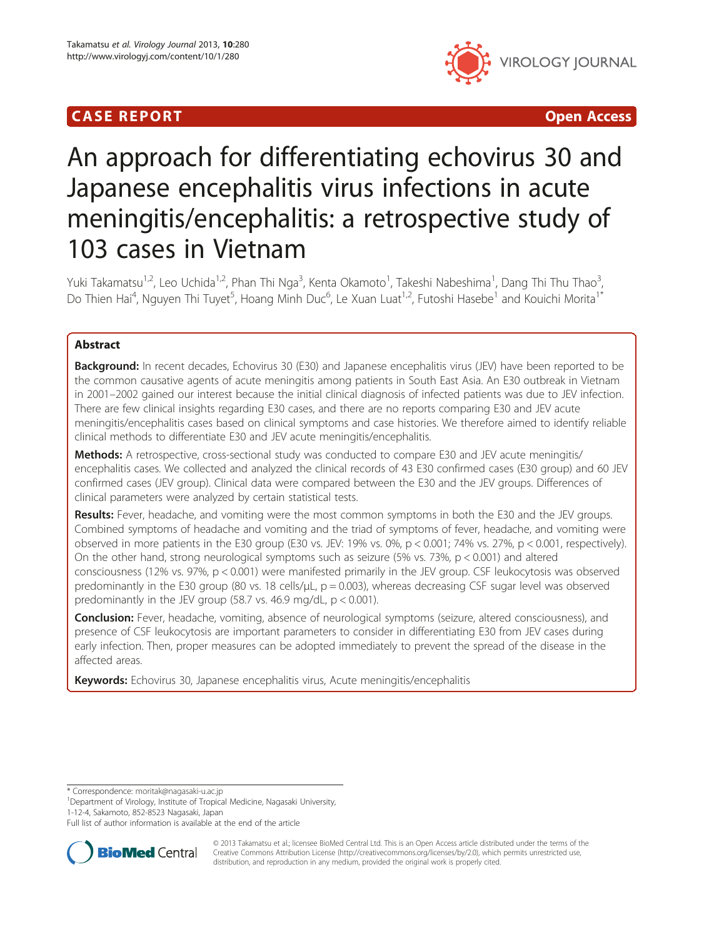# **CASE REPORT CASE ACCESS**



# An approach for differentiating echovirus 30 and Japanese encephalitis virus infections in acute meningitis/encephalitis: a retrospective study of 103 cases in Vietnam

Yuki Takamatsu<sup>1,2</sup>, Leo Uchida<sup>1,2</sup>, Phan Thi Nga<sup>3</sup>, Kenta Okamoto<sup>1</sup>, Takeshi Nabeshima<sup>1</sup>, Dang Thi Thu Thao<sup>3</sup> , Do Thien Hai<sup>4</sup>, Nguyen Thi Tuyet<sup>5</sup>, Hoang Minh Duc<sup>6</sup>, Le Xuan Luat<sup>1,2</sup>, Futoshi Hasebe<sup>1</sup> and Kouichi Morita<sup>1\*</sup>

# Abstract

Background: In recent decades, Echovirus 30 (E30) and Japanese encephalitis virus (JEV) have been reported to be the common causative agents of acute meningitis among patients in South East Asia. An E30 outbreak in Vietnam in 2001–2002 gained our interest because the initial clinical diagnosis of infected patients was due to JEV infection. There are few clinical insights regarding E30 cases, and there are no reports comparing E30 and JEV acute meningitis/encephalitis cases based on clinical symptoms and case histories. We therefore aimed to identify reliable clinical methods to differentiate E30 and JEV acute meningitis/encephalitis.

Methods: A retrospective, cross-sectional study was conducted to compare E30 and JEV acute meningitis/ encephalitis cases. We collected and analyzed the clinical records of 43 E30 confirmed cases (E30 group) and 60 JEV confirmed cases (JEV group). Clinical data were compared between the E30 and the JEV groups. Differences of clinical parameters were analyzed by certain statistical tests.

Results: Fever, headache, and vomiting were the most common symptoms in both the E30 and the JEV groups. Combined symptoms of headache and vomiting and the triad of symptoms of fever, headache, and vomiting were observed in more patients in the E30 group (E30 vs. JEV: 19% vs. 0%,  $p < 0.001$ ; 74% vs. 27%,  $p < 0.001$ , respectively). On the other hand, strong neurological symptoms such as seizure (5% vs.  $73\%$ ,  $p < 0.001$ ) and altered consciousness (12% vs. 97%, p < 0.001) were manifested primarily in the JEV group. CSF leukocytosis was observed predominantly in the E30 group (80 vs. 18 cells/ $\mu$ L, p = 0.003), whereas decreasing CSF sugar level was observed predominantly in the JEV group  $(58.7 \text{ vs. } 46.9 \text{ mg/dL}, p < 0.001)$ .

Conclusion: Fever, headache, vomiting, absence of neurological symptoms (seizure, altered consciousness), and presence of CSF leukocytosis are important parameters to consider in differentiating E30 from JEV cases during early infection. Then, proper measures can be adopted immediately to prevent the spread of the disease in the affected areas.

Keywords: Echovirus 30, Japanese encephalitis virus, Acute meningitis/encephalitis

\* Correspondence: [moritak@nagasaki-u.ac.jp](mailto:moritak@nagasaki-u.ac.jp) <sup>1</sup>

<sup>1</sup>Department of Virology, Institute of Tropical Medicine, Nagasaki University, 1-12-4, Sakamoto, 852-8523 Nagasaki, Japan

Full list of author information is available at the end of the article



© 2013 Takamatsu et al.; licensee BioMed Central Ltd. This is an Open Access article distributed under the terms of the Creative Commons Attribution License (<http://creativecommons.org/licenses/by/2.0>), which permits unrestricted use, distribution, and reproduction in any medium, provided the original work is properly cited.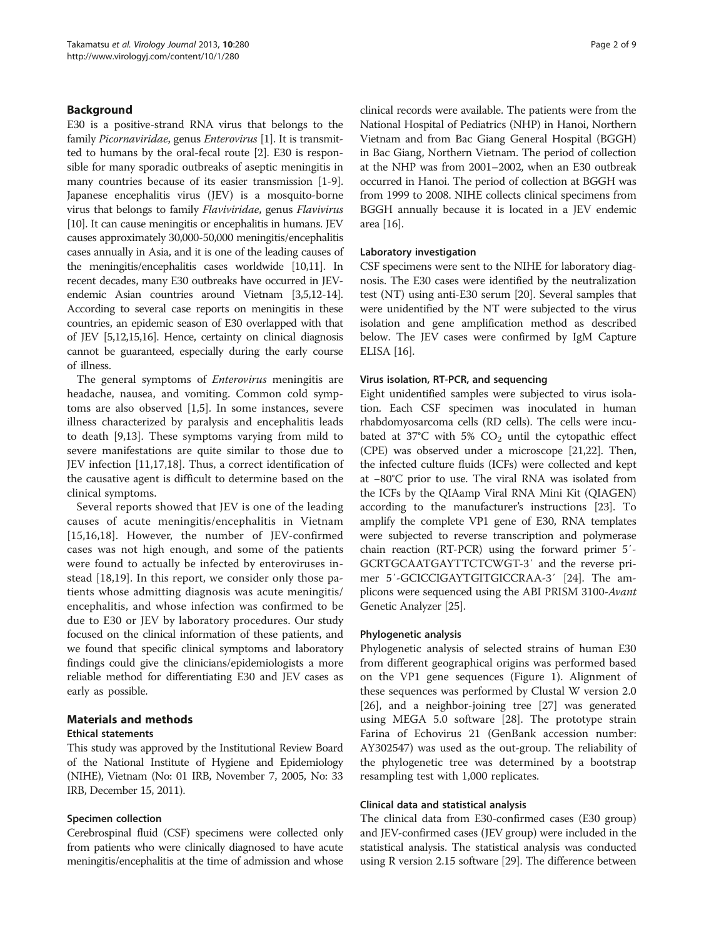# Background

E30 is a positive-strand RNA virus that belongs to the family Picornaviridae, genus Enterovirus [\[1](#page-7-0)]. It is transmitted to humans by the oral-fecal route [[2\]](#page-7-0). E30 is responsible for many sporadic outbreaks of aseptic meningitis in many countries because of its easier transmission [\[1](#page-7-0)-[9](#page-7-0)]. Japanese encephalitis virus (JEV) is a mosquito-borne virus that belongs to family Flaviviridae, genus Flavivirus [[10](#page-7-0)]. It can cause meningitis or encephalitis in humans. JEV causes approximately 30,000-50,000 meningitis/encephalitis cases annually in Asia, and it is one of the leading causes of the meningitis/encephalitis cases worldwide [[10,11](#page-7-0)]. In recent decades, many E30 outbreaks have occurred in JEVendemic Asian countries around Vietnam [[3,5,12-14](#page-7-0)]. According to several case reports on meningitis in these countries, an epidemic season of E30 overlapped with that of JEV [[5,12,15,16\]](#page-7-0). Hence, certainty on clinical diagnosis cannot be guaranteed, especially during the early course of illness.

The general symptoms of *Enterovirus* meningitis are headache, nausea, and vomiting. Common cold symptoms are also observed [[1](#page-7-0),[5\]](#page-7-0). In some instances, severe illness characterized by paralysis and encephalitis leads to death [\[9,13](#page-7-0)]. These symptoms varying from mild to severe manifestations are quite similar to those due to JEV infection [\[11,17,18](#page-7-0)]. Thus, a correct identification of the causative agent is difficult to determine based on the clinical symptoms.

Several reports showed that JEV is one of the leading causes of acute meningitis/encephalitis in Vietnam [[15,16,18\]](#page-7-0). However, the number of JEV-confirmed cases was not high enough, and some of the patients were found to actually be infected by enteroviruses instead [[18,19\]](#page-7-0). In this report, we consider only those patients whose admitting diagnosis was acute meningitis/ encephalitis, and whose infection was confirmed to be due to E30 or JEV by laboratory procedures. Our study focused on the clinical information of these patients, and we found that specific clinical symptoms and laboratory findings could give the clinicians/epidemiologists a more reliable method for differentiating E30 and JEV cases as early as possible.

# Materials and methods

# Ethical statements

This study was approved by the Institutional Review Board of the National Institute of Hygiene and Epidemiology (NIHE), Vietnam (No: 01 IRB, November 7, 2005, No: 33 IRB, December 15, 2011).

# Specimen collection

Cerebrospinal fluid (CSF) specimens were collected only from patients who were clinically diagnosed to have acute meningitis/encephalitis at the time of admission and whose

clinical records were available. The patients were from the National Hospital of Pediatrics (NHP) in Hanoi, Northern Vietnam and from Bac Giang General Hospital (BGGH) in Bac Giang, Northern Vietnam. The period of collection at the NHP was from 2001–2002, when an E30 outbreak occurred in Hanoi. The period of collection at BGGH was from 1999 to 2008. NIHE collects clinical specimens from BGGH annually because it is located in a JEV endemic area [[16\]](#page-7-0).

#### Laboratory investigation

CSF specimens were sent to the NIHE for laboratory diagnosis. The E30 cases were identified by the neutralization test (NT) using anti-E30 serum [\[20\]](#page-7-0). Several samples that were unidentified by the NT were subjected to the virus isolation and gene amplification method as described below. The JEV cases were confirmed by IgM Capture ELISA [\[16\]](#page-7-0).

#### Virus isolation, RT-PCR, and sequencing

Eight unidentified samples were subjected to virus isolation. Each CSF specimen was inoculated in human rhabdomyosarcoma cells (RD cells). The cells were incubated at 37°C with 5%  $CO<sub>2</sub>$  until the cytopathic effect (CPE) was observed under a microscope [\[21,22](#page-7-0)]. Then, the infected culture fluids (ICFs) were collected and kept at −80°C prior to use. The viral RNA was isolated from the ICFs by the QIAamp Viral RNA Mini Kit (QIAGEN) according to the manufacturer's instructions [[23](#page-8-0)]. To amplify the complete VP1 gene of E30, RNA templates were subjected to reverse transcription and polymerase chain reaction (RT-PCR) using the forward primer 5′- GCRTGCAATGAYTTCTCWGT-3′ and the reverse primer 5′-GCICCIGAYTGITGICCRAA-3′ [[24](#page-8-0)]. The amplicons were sequenced using the ABI PRISM 3100-Avant Genetic Analyzer [\[25\]](#page-8-0).

#### Phylogenetic analysis

Phylogenetic analysis of selected strains of human E30 from different geographical origins was performed based on the VP1 gene sequences (Figure [1](#page-3-0)). Alignment of these sequences was performed by Clustal W version 2.0 [[26\]](#page-8-0), and a neighbor-joining tree [[27\]](#page-8-0) was generated using MEGA 5.0 software [[28](#page-8-0)]. The prototype strain Farina of Echovirus 21 (GenBank accession number: AY302547) was used as the out-group. The reliability of the phylogenetic tree was determined by a bootstrap resampling test with 1,000 replicates.

#### Clinical data and statistical analysis

The clinical data from E30-confirmed cases (E30 group) and JEV-confirmed cases (JEV group) were included in the statistical analysis. The statistical analysis was conducted using R version 2.15 software [\[29](#page-8-0)]. The difference between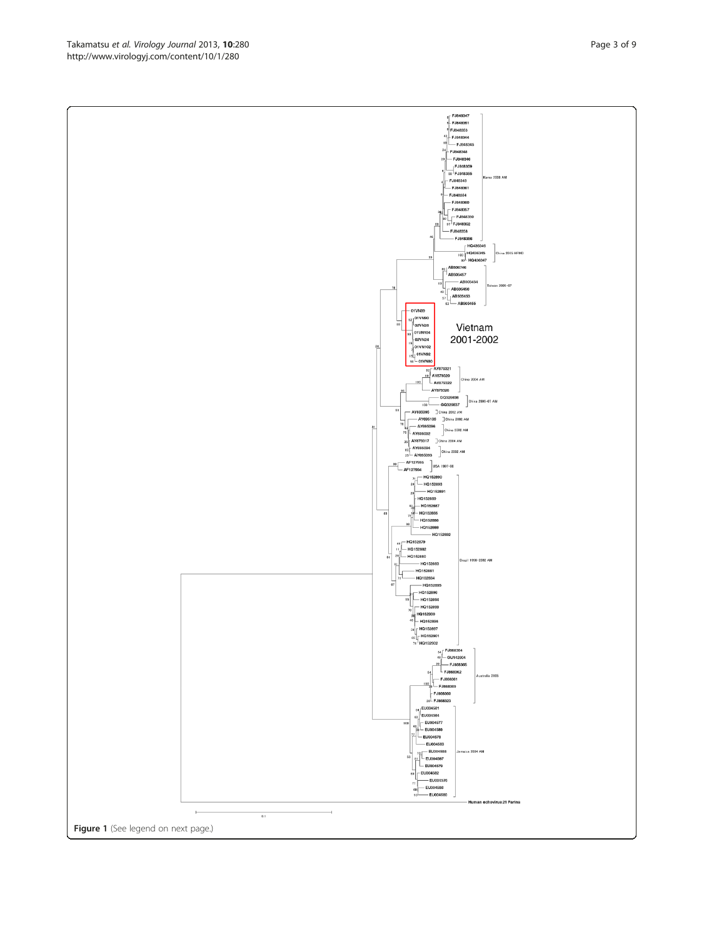Takamatsu et al. Virology Journal 2013, 10:280 http://www.virologyj.com/content/10/1/280

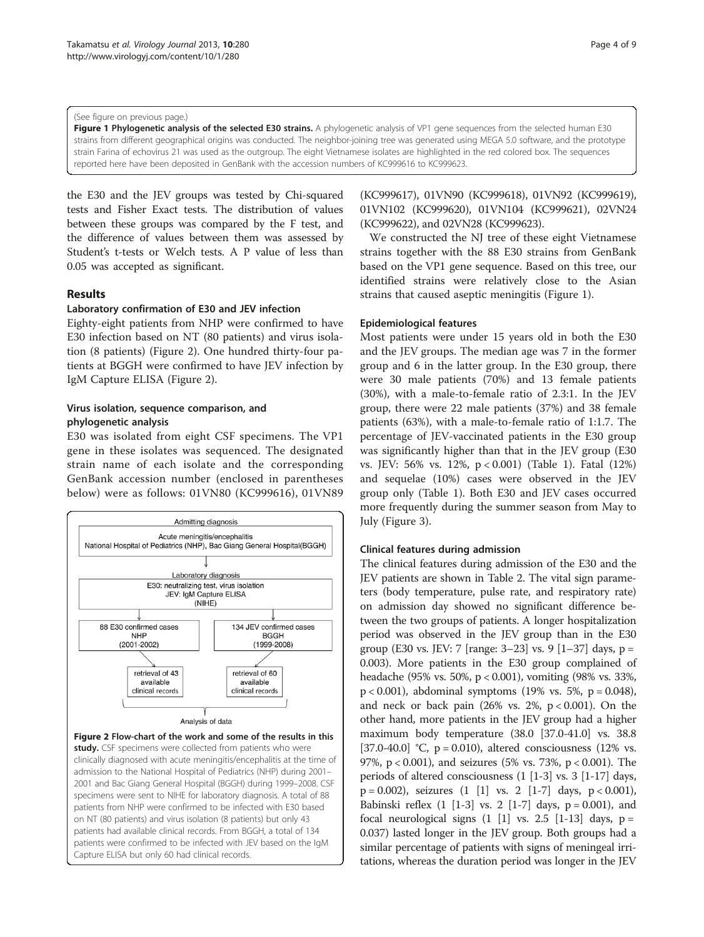#### <span id="page-3-0"></span>(See figure on previous page.)

Figure 1 Phylogenetic analysis of the selected E30 strains. A phylogenetic analysis of VP1 gene sequences from the selected human E30 strains from different geographical origins was conducted. The neighbor-joining tree was generated using MEGA 5.0 software, and the prototype strain Farina of echovirus 21 was used as the outgroup. The eight Vietnamese isolates are highlighted in the red colored box. The sequences reported here have been deposited in GenBank with the accession numbers of KC999616 to KC999623.

the E30 and the JEV groups was tested by Chi-squared tests and Fisher Exact tests. The distribution of values between these groups was compared by the F test, and the difference of values between them was assessed by Student's t-tests or Welch tests. A P value of less than 0.05 was accepted as significant.

### Results

#### Laboratory confirmation of E30 and JEV infection

Eighty-eight patients from NHP were confirmed to have E30 infection based on NT (80 patients) and virus isolation (8 patients) (Figure 2). One hundred thirty-four patients at BGGH were confirmed to have JEV infection by IgM Capture ELISA (Figure 2).

# Virus isolation, sequence comparison, and phylogenetic analysis

E30 was isolated from eight CSF specimens. The VP1 gene in these isolates was sequenced. The designated strain name of each isolate and the corresponding GenBank accession number (enclosed in parentheses below) were as follows: 01VN80 (KC999616), 01VN89



patients were confirmed to be infected with JEV based on the IgM

Capture ELISA but only 60 had clinical records.

(KC999617), 01VN90 (KC999618), 01VN92 (KC999619), 01VN102 (KC999620), 01VN104 (KC999621), 02VN24 (KC999622), and 02VN28 (KC999623).

We constructed the NJ tree of these eight Vietnamese strains together with the 88 E30 strains from GenBank based on the VP1 gene sequence. Based on this tree, our identified strains were relatively close to the Asian strains that caused aseptic meningitis (Figure 1).

#### Epidemiological features

Most patients were under 15 years old in both the E30 and the JEV groups. The median age was 7 in the former group and 6 in the latter group. In the E30 group, there were 30 male patients (70%) and 13 female patients (30%), with a male-to-female ratio of 2.3:1. In the JEV group, there were 22 male patients (37%) and 38 female patients (63%), with a male-to-female ratio of 1:1.7. The percentage of JEV-vaccinated patients in the E30 group was significantly higher than that in the JEV group (E30 vs. JEV: 56% vs. 12%, p < 0.001) (Table [1](#page-4-0)). Fatal (12%) and sequelae (10%) cases were observed in the JEV group only (Table [1](#page-4-0)). Both E30 and JEV cases occurred more frequently during the summer season from May to July (Figure [3\)](#page-4-0).

# Clinical features during admission

The clinical features during admission of the E30 and the JEV patients are shown in Table [2](#page-5-0). The vital sign parameters (body temperature, pulse rate, and respiratory rate) on admission day showed no significant difference between the two groups of patients. A longer hospitalization period was observed in the JEV group than in the E30 group (E30 vs. JEV: 7 [range: 3–23] vs. 9 [1–37] days, p = 0.003). More patients in the E30 group complained of headache (95% vs. 50%, p < 0.001), vomiting (98% vs. 33%,  $p < 0.001$ ), abdominal symptoms (19% vs. 5%,  $p = 0.048$ ), and neck or back pain  $(26\% \text{ vs. } 2\%, \text{ p} < 0.001)$ . On the other hand, more patients in the JEV group had a higher maximum body temperature (38.0 [37.0-41.0] vs. 38.8 [37.0-40.0] °C,  $p = 0.010$ ), altered consciousness (12% vs. 97%, p < 0.001), and seizures (5% vs. 73%, p < 0.001). The periods of altered consciousness (1 [1-3] vs. 3 [1-17] days,  $p = 0.002$ ), seizures  $(1 \t[1]$  vs. 2  $[1-7]$  days,  $p < 0.001$ ), Babinski reflex  $(1 \t1-3]$  vs. 2  $[1-7]$  days,  $p = 0.001$ ), and focal neurological signs  $(1 \t[1]$  vs. 2.5  $[1-13]$  days,  $p =$ 0.037) lasted longer in the JEV group. Both groups had a similar percentage of patients with signs of meningeal irritations, whereas the duration period was longer in the JEV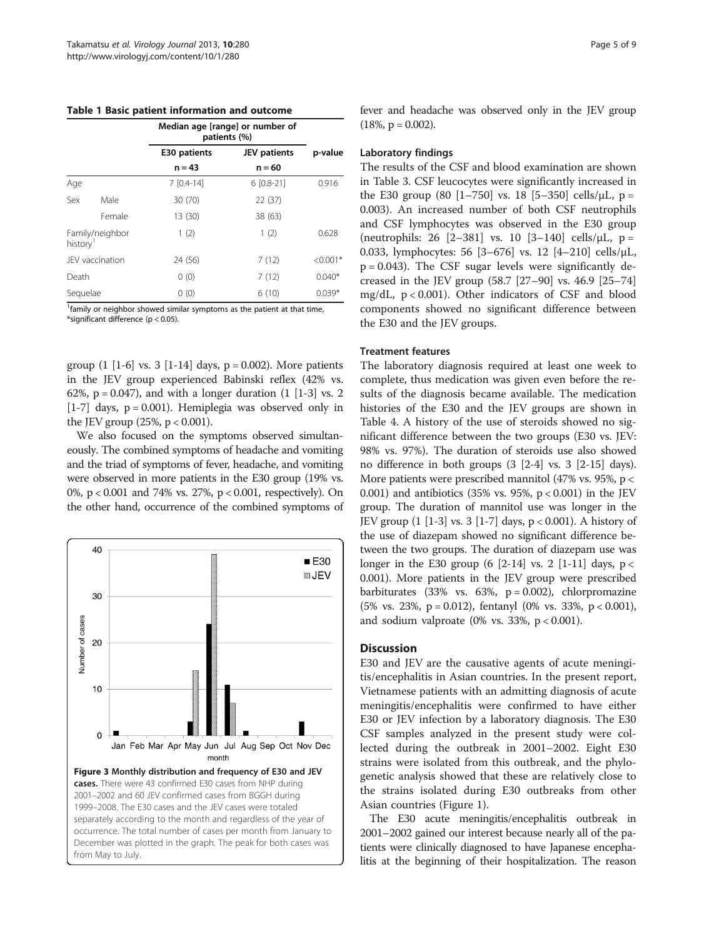<span id="page-4-0"></span>

|  |  |  | Table 1 Basic patient information and outcome |  |  |
|--|--|--|-----------------------------------------------|--|--|
|--|--|--|-----------------------------------------------|--|--|

|                      |                 | Median age [range] or number of<br>patients (%) |                     |            |
|----------------------|-----------------|-------------------------------------------------|---------------------|------------|
|                      |                 | E30 patients                                    | <b>JEV</b> patients | p-value    |
|                      |                 | $n = 43$                                        | $n = 60$            |            |
| Age                  |                 | $7 [0.4-14]$                                    | $6$ [0.8-21]        | 0.916      |
| Sex                  | Male            | 30 (70)                                         | 22(37)              |            |
|                      | Female          | 13 (30)                                         | 38 (63)             |            |
| history <sup>1</sup> | Family/neighbor | 1(2)                                            | 1(2)                | 0.628      |
|                      | JEV vaccination | 24 (56)                                         | 7(12)               | $< 0.001*$ |
| Death                |                 | 0(0)                                            | 7(12)               | $0.040*$   |
| Sequelae             |                 | 0(0)                                            | 6(10)               | $0.039*$   |

<sup>1</sup> family or neighbor showed similar symptoms as the patient at that time, \*significant difference (p < 0.05).

group  $(1 [1-6]$  vs. 3  $[1-14]$  days,  $p = 0.002$ ). More patients in the JEV group experienced Babinski reflex (42% vs. 62%,  $p = 0.047$ ), and with a longer duration  $(1 \; [1-3] \; \text{vs.} \; 2)$ [1-7] days,  $p = 0.001$ ). Hemiplegia was observed only in the JEV group  $(25\%, p < 0.001)$ .

We also focused on the symptoms observed simultaneously. The combined symptoms of headache and vomiting and the triad of symptoms of fever, headache, and vomiting were observed in more patients in the E30 group (19% vs. 0%, p < 0.001 and 74% vs. 27%, p < 0.001, respectively). On the other hand, occurrence of the combined symptoms of



fever and headache was observed only in the JEV group  $(18\%, p = 0.002)$ .

#### Laboratory findings

The results of the CSF and blood examination are shown in Table [3.](#page-6-0) CSF leucocytes were significantly increased in the E30 group (80 [1–750] vs. 18 [5–350] cells/ $\mu$ L, p = 0.003). An increased number of both CSF neutrophils and CSF lymphocytes was observed in the E30 group (neutrophils: 26 [2-381] vs. 10 [3-140] cells/ $\mu$ L, p = 0.033, lymphocytes: 56 [3–676] vs. 12 [4–210] cells/μL,  $p = 0.043$ ). The CSF sugar levels were significantly decreased in the JEV group (58.7 [27–90] vs. 46.9 [25–74] mg/dL, p < 0.001). Other indicators of CSF and blood components showed no significant difference between the E30 and the JEV groups.

### Treatment features

The laboratory diagnosis required at least one week to complete, thus medication was given even before the results of the diagnosis became available. The medication histories of the E30 and the JEV groups are shown in Table [4](#page-6-0). A history of the use of steroids showed no significant difference between the two groups (E30 vs. JEV: 98% vs. 97%). The duration of steroids use also showed no difference in both groups (3 [2-4] vs. 3 [2-15] days). More patients were prescribed mannitol (47% vs. 95%, p < 0.001) and antibiotics (35% vs. 95%,  $p < 0.001$ ) in the JEV group. The duration of mannitol use was longer in the JEV group (1 [1-3] vs. 3 [1-7] days, p < 0.001). A history of the use of diazepam showed no significant difference between the two groups. The duration of diazepam use was longer in the E30 group (6  $[2-14]$  vs. 2  $[1-11]$  days, p < 0.001). More patients in the JEV group were prescribed barbiturates (33% vs. 63%,  $p = 0.002$ ), chlorpromazine (5% vs. 23%, p = 0.012), fentanyl (0% vs. 33%, p < 0.001), and sodium valproate  $(0\%$  vs. 33%,  $p < 0.001$ ).

#### **Discussion**

E30 and JEV are the causative agents of acute meningitis/encephalitis in Asian countries. In the present report, Vietnamese patients with an admitting diagnosis of acute meningitis/encephalitis were confirmed to have either E30 or JEV infection by a laboratory diagnosis. The E30 CSF samples analyzed in the present study were collected during the outbreak in 2001–2002. Eight E30 strains were isolated from this outbreak, and the phylogenetic analysis showed that these are relatively close to the strains isolated during E30 outbreaks from other Asian countries (Figure [1](#page-3-0)).

The E30 acute meningitis/encephalitis outbreak in 2001–2002 gained our interest because nearly all of the patients were clinically diagnosed to have Japanese encephalitis at the beginning of their hospitalization. The reason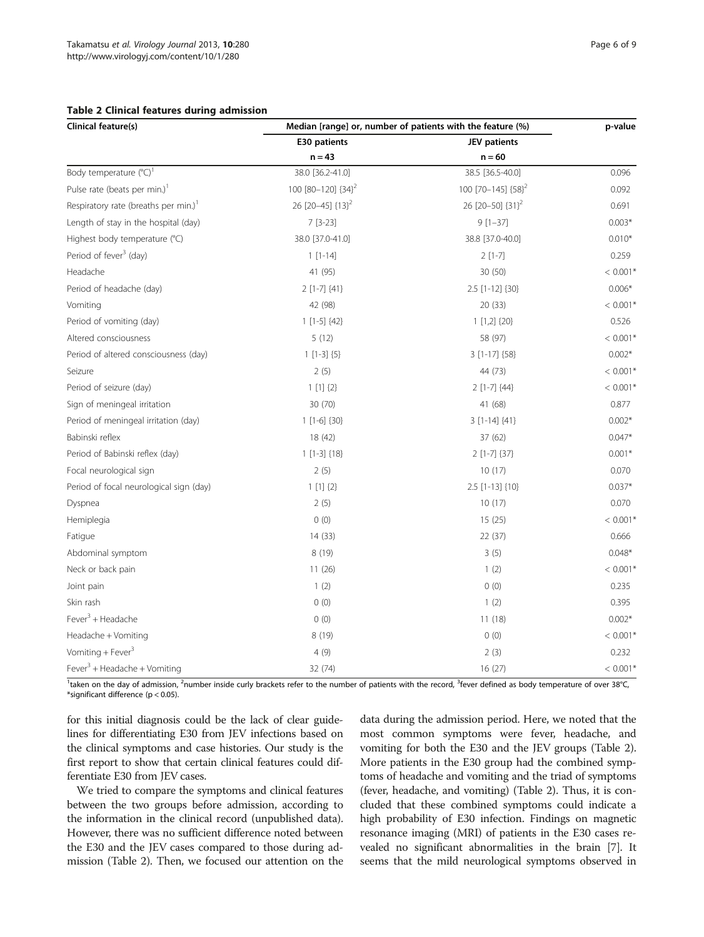#### <span id="page-5-0"></span>Table 2 Clinical features during admission

| <b>Clinical feature(s)</b>                       | Median [range] or, number of patients with the feature (%) |                              | p-value    |
|--------------------------------------------------|------------------------------------------------------------|------------------------------|------------|
|                                                  | E30 patients                                               | JEV patients                 |            |
|                                                  | $n = 43$                                                   | $n = 60$                     |            |
| Body temperature (°C) <sup>1</sup>               | 38.0 [36.2-41.0]                                           | 38.5 [36.5-40.0]             | 0.096      |
| Pulse rate (beats per min.) <sup>1</sup>         | 100 [80-120] {34} <sup>2</sup>                             | 100 [70-145] ${58}^2$        | 0.092      |
| Respiratory rate (breaths per min.) <sup>1</sup> | 26 [20-45] {13} <sup>2</sup>                               | 26 [20-50] {31} <sup>2</sup> | 0.691      |
| Length of stay in the hospital (day)             | $7[3-23]$                                                  | $9[1-37]$                    | $0.003*$   |
| Highest body temperature (°C)                    | 38.0 [37.0-41.0]                                           | 38.8 [37.0-40.0]             | $0.010*$   |
| Period of fever <sup>3</sup> (day)               | $1[1-14]$                                                  | $2[1-7]$                     | 0.259      |
| Headache                                         | 41 (95)                                                    | 30 (50)                      | $< 0.001*$ |
| Period of headache (day)                         | $2$ [1-7] $\{41\}$                                         | 2.5 [1-12] {30}              | $0.006*$   |
| Vomiting                                         | 42 (98)                                                    | 20(33)                       | $< 0.001*$ |
| Period of vomiting (day)                         | $1$ [1-5] $\{42\}$                                         | $1$ [1,2] {20}               | 0.526      |
| Altered consciousness                            | 5(12)                                                      | 58 (97)                      | $< 0.001*$ |
| Period of altered consciousness (day)            | $1$ [1-3] $\{5\}$                                          | $3$ [1-17] $\{58\}$          | $0.002*$   |
| Seizure                                          | 2(5)                                                       | 44 (73)                      | $< 0.001*$ |
| Period of seizure (day)                          | $1[1] {2}$                                                 | $2$ [1-7] $\{44\}$           | $< 0.001*$ |
| Sign of meningeal irritation                     | 30 (70)                                                    | 41 (68)                      | 0.877      |
| Period of meningeal irritation (day)             | $1$ [1-6] $\{30\}$                                         | $3$ [1-14] $\{41\}$          | $0.002*$   |
| Babinski reflex                                  | 18 (42)                                                    | 37 (62)                      | $0.047*$   |
| Period of Babinski reflex (day)                  | $1$ [1-3] {18}                                             | $2$ [1-7] $\{37\}$           | $0.001*$   |
| Focal neurological sign                          | 2(5)                                                       | 10(17)                       | 0.070      |
| Period of focal neurological sign (day)          | $1$ [1] $\{2\}$                                            | 2.5 [1-13] {10}              | $0.037*$   |
| Dyspnea                                          | 2(5)                                                       | 10(17)                       | 0.070      |
| Hemiplegia                                       | 0(0)                                                       | 15(25)                       | $< 0.001*$ |
| Fatigue                                          | 14(33)                                                     | 22(37)                       | 0.666      |
| Abdominal symptom                                | 8(19)                                                      | 3(5)                         | $0.048*$   |
| Neck or back pain                                | 11(26)                                                     | 1(2)                         | $< 0.001*$ |
| Joint pain                                       | 1(2)                                                       | 0(0)                         | 0.235      |
| Skin rash                                        | 0(0)                                                       | 1(2)                         | 0.395      |
| Fever $3$ + Headache                             | 0(0)                                                       | 11(18)                       | $0.002*$   |
| Headache + Vomiting                              | 8(19)                                                      | 0(0)                         | $< 0.001*$ |
| Vomiting + Fever $3$                             | 4(9)                                                       | 2(3)                         | 0.232      |
| Fever <sup>3</sup> + Headache + Vomiting         | 32 (74)                                                    | 16 (27)                      | $< 0.001*$ |

<sup>1</sup>taken on the day of admission, <sup>2</sup>number inside curly brackets refer to the number of patients with the record, <sup>3</sup>fever defined as body temperature of over 38°C, \*significant difference (p < 0.05).

for this initial diagnosis could be the lack of clear guidelines for differentiating E30 from JEV infections based on the clinical symptoms and case histories. Our study is the first report to show that certain clinical features could differentiate E30 from JEV cases.

We tried to compare the symptoms and clinical features between the two groups before admission, according to the information in the clinical record (unpublished data). However, there was no sufficient difference noted between the E30 and the JEV cases compared to those during admission (Table 2). Then, we focused our attention on the

data during the admission period. Here, we noted that the most common symptoms were fever, headache, and vomiting for both the E30 and the JEV groups (Table 2). More patients in the E30 group had the combined symptoms of headache and vomiting and the triad of symptoms (fever, headache, and vomiting) (Table 2). Thus, it is concluded that these combined symptoms could indicate a high probability of E30 infection. Findings on magnetic resonance imaging (MRI) of patients in the E30 cases revealed no significant abnormalities in the brain [[7\]](#page-7-0). It seems that the mild neurological symptoms observed in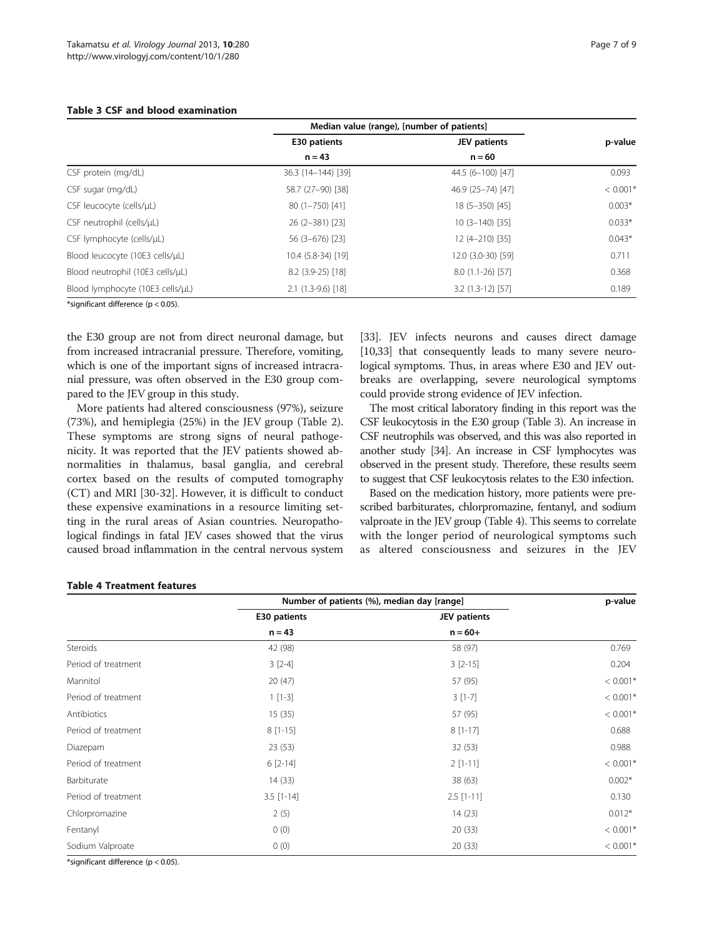|                                  | Median value (range), [number of patients] |                    |            |
|----------------------------------|--------------------------------------------|--------------------|------------|
|                                  | E30 patients                               | JEV patients       | p-value    |
|                                  | $n = 43$                                   | $n = 60$           |            |
| CSF protein (mg/dL)              | 36.3 (14-144) [39]                         | 44.5 (6-100) [47]  | 0.093      |
| CSF sugar (mg/dL)                | 58.7 (27-90) [38]                          | 46.9 (25-74) [47]  | $< 0.001*$ |
| CSF leucocyte (cells/µL)         | 80 (1-750) [41]                            | 18 (5-350) [45]    | $0.003*$   |
| CSF neutrophil (cells/uL)        | 26 (2-381) [23]                            | $10(3-140)$ [35]   | $0.033*$   |
| CSF lymphocyte (cells/µL)        | 56 (3-676) [23]                            | 12 (4-210) [35]    | $0.043*$   |
| Blood leucocyte (10E3 cells/µL)  | 10.4 (5.8-34) [19]                         | 12.0 (3.0-30) [59] | 0.711      |
| Blood neutrophil (10E3 cells/µL) | $8.2$ (3.9-25) [18]                        | $8.0(1.1-26)$ [57] | 0.368      |
| Blood lymphocyte (10E3 cells/uL) | $2.1(1.3-9.6)[18]$                         | $3.2(1.3-12)$ [57] | 0.189      |

#### <span id="page-6-0"></span>Table 3 CSF and blood examination

\*significant difference (p < 0.05).

the E30 group are not from direct neuronal damage, but from increased intracranial pressure. Therefore, vomiting, which is one of the important signs of increased intracranial pressure, was often observed in the E30 group compared to the JEV group in this study.

More patients had altered consciousness (97%), seizure (73%), and hemiplegia (25%) in the JEV group (Table [2](#page-5-0)). These symptoms are strong signs of neural pathogenicity. It was reported that the JEV patients showed abnormalities in thalamus, basal ganglia, and cerebral cortex based on the results of computed tomography (CT) and MRI [[30-32](#page-8-0)]. However, it is difficult to conduct these expensive examinations in a resource limiting setting in the rural areas of Asian countries. Neuropathological findings in fatal JEV cases showed that the virus caused broad inflammation in the central nervous system

[[33](#page-8-0)]. JEV infects neurons and causes direct damage [[10](#page-7-0)[,33](#page-8-0)] that consequently leads to many severe neurological symptoms. Thus, in areas where E30 and JEV outbreaks are overlapping, severe neurological symptoms could provide strong evidence of JEV infection.

The most critical laboratory finding in this report was the CSF leukocytosis in the E30 group (Table 3). An increase in CSF neutrophils was observed, and this was also reported in another study [\[34\]](#page-8-0). An increase in CSF lymphocytes was observed in the present study. Therefore, these results seem to suggest that CSF leukocytosis relates to the E30 infection.

Based on the medication history, more patients were prescribed barbiturates, chlorpromazine, fentanyl, and sodium valproate in the JEV group (Table 4). This seems to correlate with the longer period of neurological symptoms such as altered consciousness and seizures in the JEV

#### Table 4 Treatment features

|                     | Number of patients (%), median day [range] |              | p-value    |
|---------------------|--------------------------------------------|--------------|------------|
|                     | E30 patients                               | JEV patients |            |
|                     | $n = 43$                                   | $n = 60+$    |            |
| Steroids            | 42 (98)                                    | 58 (97)      | 0.769      |
| Period of treatment | $3[2-4]$                                   | $3[2-15]$    | 0.204      |
| Mannitol            | 20(47)                                     | 57 (95)      | $< 0.001*$ |
| Period of treatment | $1[1-3]$                                   | $3[1-7]$     | $< 0.001*$ |
| Antibiotics         | 15(35)                                     | 57 (95)      | $< 0.001*$ |
| Period of treatment | $8[1-15]$                                  | $8[1-17]$    | 0.688      |
| Diazepam            | 23(53)                                     | 32(53)       | 0.988      |
| Period of treatment | $6[2-14]$                                  | $2[1-11]$    | $< 0.001*$ |
| Barbiturate         | 14(33)                                     | 38 (63)      | $0.002*$   |
| Period of treatment | $3.5$ [1-14]                               | $2.5$ [1-11] | 0.130      |
| Chlorpromazine      | 2(5)                                       | 14(23)       | $0.012*$   |
| Fentanyl            | 0(0)                                       | 20(33)       | $< 0.001*$ |
| Sodium Valproate    | 0(0)                                       | 20(33)       | $< 0.001*$ |

\*significant difference (p < 0.05).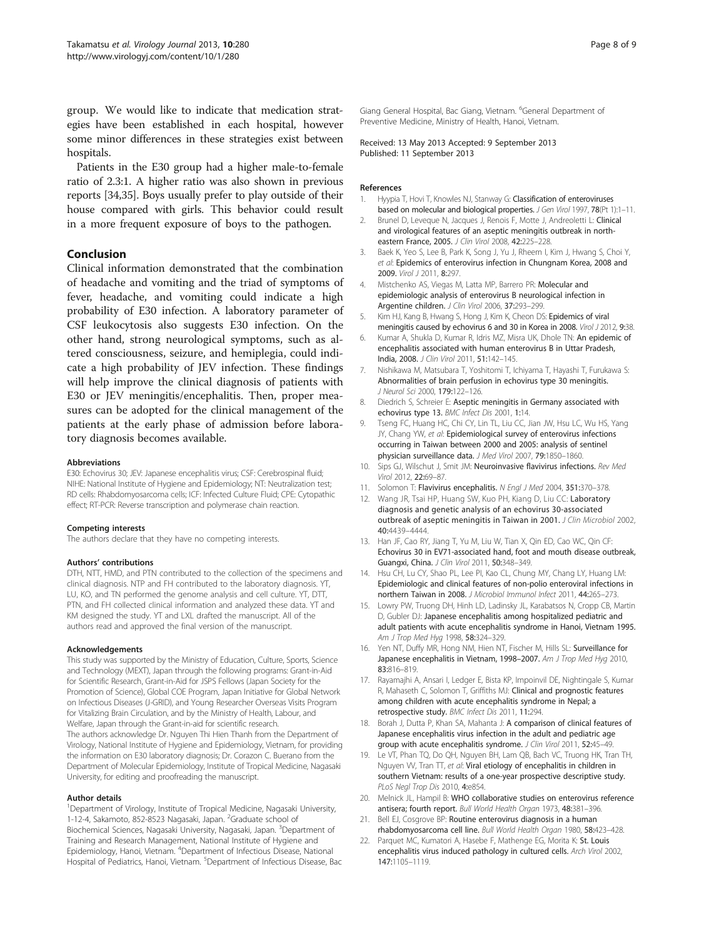<span id="page-7-0"></span>group. We would like to indicate that medication strategies have been established in each hospital, however some minor differences in these strategies exist between hospitals.

Patients in the E30 group had a higher male-to-female ratio of 2.3:1. A higher ratio was also shown in previous reports [\[34,35](#page-8-0)]. Boys usually prefer to play outside of their house compared with girls. This behavior could result in a more frequent exposure of boys to the pathogen.

#### Conclusion

Clinical information demonstrated that the combination of headache and vomiting and the triad of symptoms of fever, headache, and vomiting could indicate a high probability of E30 infection. A laboratory parameter of CSF leukocytosis also suggests E30 infection. On the other hand, strong neurological symptoms, such as altered consciousness, seizure, and hemiplegia, could indicate a high probability of JEV infection. These findings will help improve the clinical diagnosis of patients with E30 or JEV meningitis/encephalitis. Then, proper measures can be adopted for the clinical management of the patients at the early phase of admission before laboratory diagnosis becomes available.

#### Abbreviations

E30: Echovirus 30; JEV: Japanese encephalitis virus; CSF: Cerebrospinal fluid; NIHE: National Institute of Hygiene and Epidemiology; NT: Neutralization test; RD cells: Rhabdomyosarcoma cells; ICF: Infected Culture Fluid; CPE: Cytopathic effect; RT-PCR: Reverse transcription and polymerase chain reaction.

#### Competing interests

The authors declare that they have no competing interests.

#### Authors' contributions

DTH, NTT, HMD, and PTN contributed to the collection of the specimens and clinical diagnosis. NTP and FH contributed to the laboratory diagnosis. YT, LU, KO, and TN performed the genome analysis and cell culture. YT, DTT, PTN, and FH collected clinical information and analyzed these data. YT and KM designed the study. YT and LXL drafted the manuscript. All of the authors read and approved the final version of the manuscript.

#### Acknowledgements

This study was supported by the Ministry of Education, Culture, Sports, Science and Technology (MEXT), Japan through the following programs: Grant-in-Aid for Scientific Research, Grant-in-Aid for JSPS Fellows (Japan Society for the Promotion of Science), Global COE Program, Japan Initiative for Global Network on Infectious Diseases (J-GRID), and Young Researcher Overseas Visits Program for Vitalizing Brain Circulation, and by the Ministry of Health, Labour, and Welfare, Japan through the Grant-in-aid for scientific research. The authors acknowledge Dr. Nguyen Thi Hien Thanh from the Department of Virology, National Institute of Hygiene and Epidemiology, Vietnam, for providing the information on E30 laboratory diagnosis; Dr. Corazon C. Buerano from the Department of Molecular Epidemiology, Institute of Tropical Medicine, Nagasaki University, for editing and proofreading the manuscript.

#### Author details

<sup>1</sup>Department of Virology, Institute of Tropical Medicine, Nagasaki University, 1-12-4, Sakamoto, 852-8523 Nagasaki, Japan. <sup>2</sup>Graduate school of Biochemical Sciences, Nagasaki University, Nagasaki, Japan. <sup>3</sup>Department of Training and Research Management, National Institute of Hygiene and Epidemiology, Hanoi, Vietnam. <sup>4</sup>Department of Infectious Disease, National Hospital of Pediatrics, Hanoi, Vietnam. <sup>5</sup>Department of Infectious Disease, Bac

Giang General Hospital, Bac Giang, Vietnam. <sup>6</sup>General Department of Preventive Medicine, Ministry of Health, Hanoi, Vietnam.

Received: 13 May 2013 Accepted: 9 September 2013 Published: 11 September 2013

#### References

- Hyypia T, Hovi T, Knowles NJ, Stanway G: Classification of enteroviruses based on molecular and biological properties. J Gen Virol 1997, 78(Pt 1):1-11.
- 2. Brunel D, Leveque N, Jacques J, Renois F, Motte J, Andreoletti L: Clinical and virological features of an aseptic meningitis outbreak in northeastern France, 2005. J Clin Virol 2008, 42:225–228.
- 3. Baek K, Yeo S, Lee B, Park K, Song J, Yu J, Rheem I, Kim J, Hwang S, Choi Y, et al: Epidemics of enterovirus infection in Chungnam Korea, 2008 and 2009. Virol J 2011, 8:297.
- 4. Mistchenko AS, Viegas M, Latta MP, Barrero PR: Molecular and epidemiologic analysis of enterovirus B neurological infection in Argentine children. J Clin Virol 2006, 37:293–299.
- 5. Kim HJ, Kang B, Hwang S, Hong J, Kim K, Cheon DS: Epidemics of viral meningitis caused by echovirus 6 and 30 in Korea in 2008. Virol J 2012, 9:38.
- 6. Kumar A, Shukla D, Kumar R, Idris MZ, Misra UK, Dhole TN: An epidemic of encephalitis associated with human enterovirus B in Uttar Pradesh, India, 2008. J Clin Virol 2011, 51:142–145.
- 7. Nishikawa M, Matsubara T, Yoshitomi T, Ichiyama T, Hayashi T, Furukawa S: Abnormalities of brain perfusion in echovirus type 30 meningitis. J Neurol Sci 2000, 179:122–126.
- 8. Diedrich S, Schreier E: Aseptic meningitis in Germany associated with echovirus type 13. BMC Infect Dis 2001, 1:14.
- 9. Tseng FC, Huang HC, Chi CY, Lin TL, Liu CC, Jian JW, Hsu LC, Wu HS, Yang JY, Chang YW, et al: Epidemiological survey of enterovirus infections occurring in Taiwan between 2000 and 2005: analysis of sentinel physician surveillance data. J Med Virol 2007, 79:1850–1860.
- 10. Sips GJ, Wilschut J, Smit JM: Neuroinvasive flavivirus infections. Rev Med Virol 2012, 22:69–87.
- 11. Solomon T: Flavivirus encephalitis. N Engl J Med 2004, 351:370-378.
- 12. Wang JR, Tsai HP, Huang SW, Kuo PH, Kiang D, Liu CC: Laboratory diagnosis and genetic analysis of an echovirus 30-associated outbreak of aseptic meningitis in Taiwan in 2001. J Clin Microbiol 2002, 40:4439–4444.
- 13. Han JF, Cao RY, Jiang T, Yu M, Liu W, Tian X, Qin ED, Cao WC, Qin CF: Echovirus 30 in EV71-associated hand, foot and mouth disease outbreak, Guangxi, China. J Clin Virol 2011, 50:348–349.
- 14. Hsu CH, Lu CY, Shao PL, Lee PI, Kao CL, Chung MY, Chang LY, Huang LM: Epidemiologic and clinical features of non-polio enteroviral infections in northern Taiwan in 2008. J Microbiol Immunol Infect 2011, 44:265–273.
- 15. Lowry PW, Truong DH, Hinh LD, Ladinsky JL, Karabatsos N, Cropp CB, Martin D, Gubler DJ: Japanese encephalitis among hospitalized pediatric and adult patients with acute encephalitis syndrome in Hanoi, Vietnam 1995. Am J Trop Med Hyg 1998, 58:324-329.
- 16. Yen NT, Duffy MR, Hong NM, Hien NT, Fischer M, Hills SL: Surveillance for Japanese encephalitis in Vietnam, 1998-2007. Am J Trop Med Hyg 2010, 83:816–819.
- 17. Rayamajhi A, Ansari I, Ledger E, Bista KP, Impoinvil DE, Nightingale S, Kumar R, Mahaseth C, Solomon T, Griffiths MJ: Clinical and prognostic features among children with acute encephalitis syndrome in Nepal; a retrospective study. BMC Infect Dis 2011, 11:294.
- 18. Borah J, Dutta P, Khan SA, Mahanta J: A comparison of clinical features of Japanese encephalitis virus infection in the adult and pediatric age group with acute encephalitis syndrome. J Clin Virol 2011, 52:45-49.
- Le VT, Phan TQ, Do QH, Nguyen BH, Lam QB, Bach VC, Truong HK, Tran TH, Nguyen W, Tran TT, et al: Viral etiology of encephalitis in children in southern Vietnam: results of a one-year prospective descriptive study. PLoS Negl Trop Dis 2010, 4:e854.
- 20. Melnick JL, Hampil B: WHO collaborative studies on enterovirus reference antisera; fourth report. Bull World Health Organ 1973, 48:381–396.
- 21. Bell EJ, Cosgrove BP: Routine enterovirus diagnosis in a human rhabdomyosarcoma cell line. Bull World Health Organ 1980, 58:423–428.
- 22. Parquet MC, Kumatori A, Hasebe F, Mathenge EG, Morita K: St. Louis encephalitis virus induced pathology in cultured cells. Arch Virol 2002, 147:1105–1119.